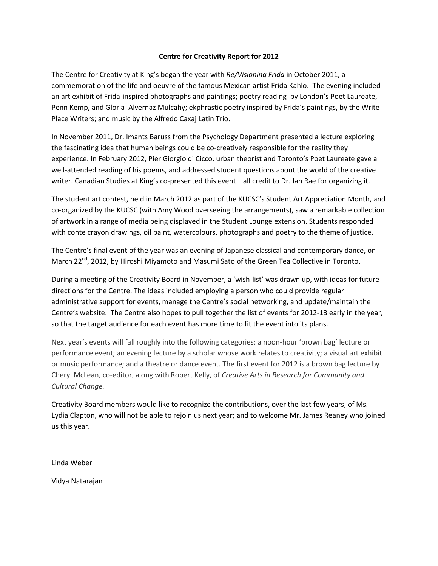## **Centre for Creativity Report for 2012**

The Centre for Creativity at King's began the year with *Re/Visioning Frida* in October 2011, a commemoration of the life and oeuvre of the famous Mexican artist Frida Kahlo. The evening included an art exhibit of Frida-inspired photographs and paintings; poetry reading by London's Poet Laureate, Penn Kemp, and Gloria Alvernaz Mulcahy; ekphrastic poetry inspired by Frida's paintings, by the Write Place Writers; and music by the Alfredo Caxaj Latin Trio.

In November 2011, Dr. Imants Baruss from the Psychology Department presented a lecture exploring the fascinating idea that human beings could be co-creatively responsible for the reality they experience. In February 2012, Pier Giorgio di Cicco, urban theorist and Toronto's Poet Laureate gave a well-attended reading of his poems, and addressed student questions about the world of the creative writer. Canadian Studies at King's co-presented this event—all credit to Dr. Ian Rae for organizing it.

The student art contest, held in March 2012 as part of the KUCSC's Student Art Appreciation Month, and co-organized by the KUCSC (with Amy Wood overseeing the arrangements), saw a remarkable collection of artwork in a range of media being displayed in the Student Lounge extension. Students responded with conte crayon drawings, oil paint, watercolours, photographs and poetry to the theme of justice.

The Centre's final event of the year was an evening of Japanese classical and contemporary dance, on March 22<sup>nd</sup>, 2012, by Hiroshi Miyamoto and Masumi Sato of the Green Tea Collective in Toronto.

During a meeting of the Creativity Board in November, a 'wish-list' was drawn up, with ideas for future directions for the Centre. The ideas included employing a person who could provide regular administrative support for events, manage the Centre's social networking, and update/maintain the Centre's website. The Centre also hopes to pull together the list of events for 2012-13 early in the year, so that the target audience for each event has more time to fit the event into its plans.

Next year's events will fall roughly into the following categories: a noon-hour 'brown bag' lecture or performance event; an evening lecture by a scholar whose work relates to creativity; a visual art exhibit or music performance; and a theatre or dance event. The first event for 2012 is a brown bag lecture by Cheryl McLean, co-editor, along with Robert Kelly, of *Creative Arts in Research for Community and Cultural Change.* 

Creativity Board members would like to recognize the contributions, over the last few years, of Ms. Lydia Clapton, who will not be able to rejoin us next year; and to welcome Mr. James Reaney who joined us this year.

Linda Weber

Vidya Natarajan